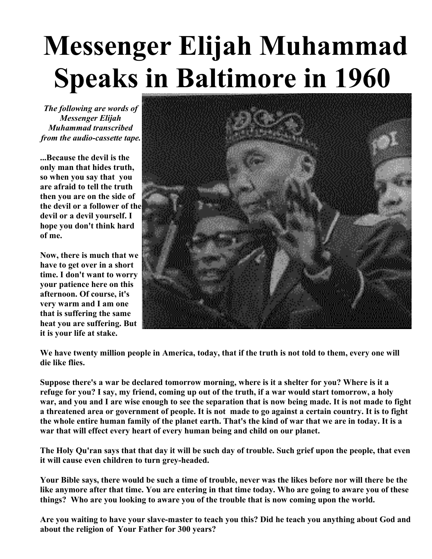## **Messenger Elijah Muhammad Speaks in Baltimore in 1960**

*The following are words of Messenger Elijah Muhammad transcribed from the audio-cassette tape.*

**...Because the devil is the only man that hides truth, so when you say that you are afraid to tell the truth then you are on the side of the devil or a follower of the devil or a devil yourself. I hope you don't think hard of me.**

**Now, there is much that we have to get over in a short time. I don't want to worry your patience here on this afternoon. Of course, it's very warm and I am one that is suffering the same heat you are suffering. But it is your life at stake.**



**We have twenty million people in America, today, that if the truth is not told to them, every one will die like flies.**

**Suppose there's a war be declared tomorrow morning, where is it a shelter for you? Where is it a refuge for you? I say, my friend, coming up out of the truth, if a war would start tomorrow, a holy war, and you and I are wise enough to see the separation that is now being made. It is not made to fight a threatened area or government of people. It is not made to go against a certain country. It is to fight the whole entire human family of the planet earth. That's the kind of war that we are in today. It is a war that will effect every heart of every human being and child on our planet.**

**The Holy Qu'ran says that that day it will be such day of trouble. Such grief upon the people, that even it will cause even children to turn grey-headed.**

**Your Bible says, there would be such a time of trouble, never was the likes before nor will there be the like anymore after that time. You are entering in that time today. Who are going to aware you of these things? Who are you looking to aware you of the trouble that is now coming upon the world.**

**Are you waiting to have your slave-master to teach you this? Did he teach you anything about God and about the religion of Your Father for 300 years?**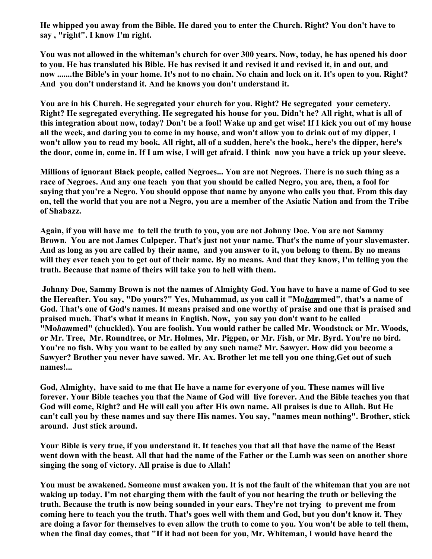**He whipped you away from the Bible. He dared you to enter the Church. Right? You don't have to say , "right". I know I'm right.**

**You was not allowed in the whiteman's church for over 300 years. Now, today, he has opened his door to you. He has translated his Bible. He has revised it and revised it and revised it, in and out, and now .......the Bible's in your home. It's not to no chain. No chain and lock on it. It's open to you. Right? And you don't understand it. And he knows you don't understand it.**

**You are in his Church. He segregated your church for you. Right? He segregated your cemetery. Right? He segregated everything. He segregated his house for you. Didn't he? All right, what is all of this integration about now, today? Don't be a fool! Wake up and get wise! If I kick you out of my house all the week, and daring you to come in my house, and won't allow you to drink out of my dipper, I won't allow you to read my book. All right, all of a sudden, here's the book., here's the dipper, here's the door, come in, come in. If I am wise, I will get afraid. I think now you have a trick up your sleeve.**

**Millions of ignorant Black people, called Negroes... You are not Negroes. There is no such thing as a race of Negroes. And any one teach you that you should be called Negro, you are, then, a fool for saying that you're a Negro. You should oppose that name by anyone who calls you that. From this day on, tell the world that you are not a Negro, you are a member of the Asiatic Nation and from the Tribe of Shabazz.**

**Again, if you will have me to tell the truth to you, you are not Johnny Doe. You are not Sammy Brown. You are not James Culpeper. That's just not your name. That's the name of your slavemaster. And as long as you are called by their name, and you answer to it, you belong to them. By no means will they ever teach you to get out of their name. By no means. And that they know, I'm telling you the truth. Because that name of theirs will take you to hell with them.**

**Johnny Doe, Sammy Brown is not the names of Almighty God. You have to have a name of God to see the Hereafter. You say, "Do yours?" Yes, Muhammad, as you call it "Mo***ham***med", that's a name of God. That's one of God's names. It means praised and one worthy of praise and one that is praised and praised much. That's what it means in English. Now, you say you don't want to be called "Mo***ham***med" (chuckled). You are foolish. You would rather be called Mr. Woodstock or Mr. Woods, or Mr. Tree, Mr. Roundtree, or Mr. Holmes, Mr. Pigpen, or Mr. Fish, or Mr. Byrd. You're no bird. You're no fish. Why you want to be called by any such name? Mr. Sawyer. How did you become a Sawyer? Brother you never have sawed. Mr. Ax. Brother let me tell you one thing,Get out of such names!...**

**God, Almighty, have said to me that He have a name for everyone of you. These names will live forever. Your Bible teaches you that the Name of God will live forever. And the Bible teaches you that God will come, Right? and He will call you after His own name. All praises is due to Allah. But He can't call you by these names and say there His names. You say, "names mean nothing". Brother, stick around. Just stick around.**

**Your Bible is very true, if you understand it. It teaches you that all that have the name of the Beast went down with the beast. All that had the name of the Father or the Lamb was seen on another shore singing the song of victory. All praise is due to Allah!**

**You must be awakened. Someone must awaken you. It is not the fault of the whiteman that you are not waking up today. I'm not charging them with the fault of you not hearing the truth or believing the truth. Because the truth is now being sounded in your ears. They're not trying to prevent me from coming here to teach you the truth. That's goes well with them and God, but you don't know it. They are doing a favor for themselves to even allow the truth to come to you. You won't be able to tell them, when the final day comes, that "If it had not been for you, Mr. Whiteman, I would have heard the**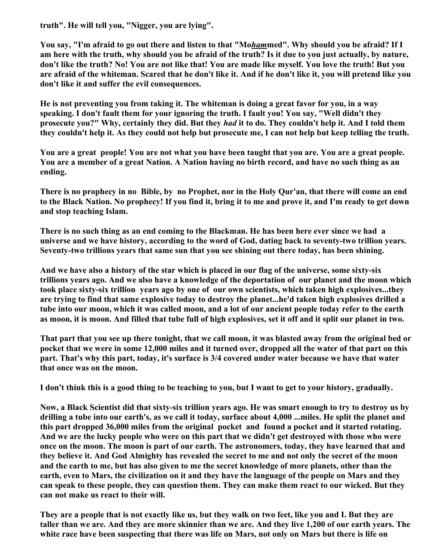**truth". He will tell you, "Nigger, you are lying".**

**You say, "I'm afraid to go out there and listen to that "Mo***ham***med". Why should you be afraid? If I am here with the truth, why should you be afraid of the truth? Is it due to you just actually, by nature, don't like the truth? No! You are not like that! You are made like myself. You love the truth! But you are afraid of the whiteman. Scared that he don't like it. And if he don't like it, you will pretend like you don't like it and suffer the evil consequences.**

**He is not preventing you from taking it. The whiteman is doing a great favor for you, in a way speaking. I don't fault them for your ignoring the truth. I fault you! You say, "Well didn't they prosecute you?" Why, certainly they did. But they** *had* **it to do. They couldn't help it. And I told them they couldn't help it. As they could not help but prosecute me, I can not help but keep telling the truth.**

**You are a great people! You are not what you have been taught that you are. You are a great people. You are a member of a great Nation. A Nation having no birth record, and have no such thing as an ending.**

**There is no prophecy in no Bible, by no Prophet, nor in the Holy Qur'an, that there will come an end to the Black Nation. No prophecy! If you find it, bring it to me and prove it, and I'm ready to get down and stop teaching Islam.**

**There is no such thing as an end coming to the Blackman. He has been here ever since we had a universe and we have history, according to the word of God, dating back to seventy-two trillion years. Seventy-two trillions years that same sun that you see shining out there today, has been shining.**

**And we have also a history of the star which is placed in our flag of the universe, some sixty-six trillions years ago. And we also have a knowledge of the deportation of our planet and the moon which took place sixty-six trillion years ago by one of our own scientists, which taken high explosives...they are trying to find that same explosive today to destroy the planet...he'd taken high explosives drilled a tube into our moon, which it was called moon, and a lot of our ancient people today refer to the earth as moon, it is moon. And filled that tube full of high explosives, set it off and it split our planet in two.**

**That part that you see up there tonight, that we call moon, it was blasted away from the original bed or pocket that we were in some 12,000 miles and it turned over, dropped all the water of that part on this part. That's why this part, today, it's surface is 3/4 covered under water because we have that water that once was on the moon.**

**I don't think this is a good thing to be teaching to you, but I want to get to your history, gradually.**

**Now, a Black Scientist did that sixty-six trillion years ago. He was smart enough to try to destroy us by drilling a tube into our earth's, as we call it today, surface about 4,000 ...miles. He split the planet and this part dropped 36,000 miles from the original pocket and found a pocket and it started rotating. And we are the lucky people who were on this part that we didn't get destroyed with those who were once on the moon. The moon is part of our earth. The astronomers, today, they have learned that and they believe it. And God Almighty has revealed the secret to me and not only the secret of the moon and the earth to me, but has also given to me the secret knowledge of more planets, other than the earth, even to Mars, the civilization on it and they have the language of the people on Mars and they can speak to these people, they can question them. They can make them react to our wicked. But they can not make us react to their will.**

**They are a people that is not exactly like us, but they walk on two feet, like you and I. But they are taller than we are. And they are more skinnier than we are. And they live 1,200 of our earth years. The white race have been suspecting that there was life on Mars, not only on Mars but there is life on**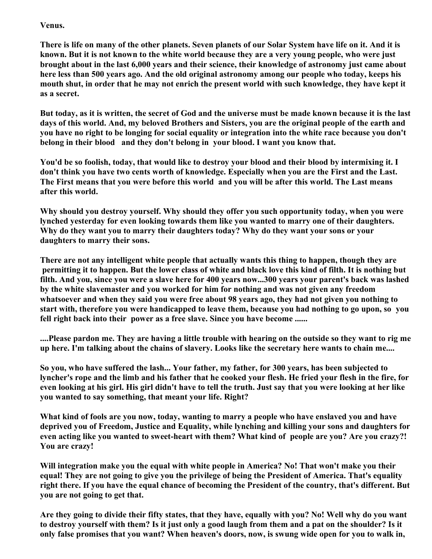## **Venus.**

**There is life on many of the other planets. Seven planets of our Solar System have life on it. And it is known. But it is not known to the white world because they are a very young people, who were just brought about in the last 6,000 years and their science, their knowledge of astronomy just came about here less than 500 years ago. And the old original astronomy among our people who today, keeps his mouth shut, in order that he may not enrich the present world with such knowledge, they have kept it as a secret.**

**But today, as it is written, the secret of God and the universe must be made known because it is the last days of this world. And, my beloved Brothers and Sisters, you are the original people of the earth and you have no right to be longing for social equality or integration into the white race because you don't belong in their blood and they don't belong in your blood. I want you know that.**

**You'd be so foolish, today, that would like to destroy your blood and their blood by intermixing it. I don't think you have two cents worth of knowledge. Especially when you are the First and the Last. The First means that you were before this world and you will be after this world. The Last means after this world.**

**Why should you destroy yourself. Why should they offer you such opportunity today, when you were lynched yesterday for even looking towards them like you wanted to marry one of their daughters. Why do they want you to marry their daughters today? Why do they want your sons or your daughters to marry their sons.**

**There are not any intelligent white people that actually wants this thing to happen, though they are permitting it to happen. But the lower class of white and black love this kind of filth. It is nothing but filth. And you, since you were a slave here for 400 years now...300 years your parent's back was lashed by the white slavemaster and you worked for him for nothing and was not given any freedom whatsoever and when they said you were free about 98 years ago, they had not given you nothing to start with, therefore you were handicapped to leave them, because you had nothing to go upon, so you fell right back into their power as a free slave. Since you have become ......**

**....Please pardon me. They are having a little trouble with hearing on the outside so they want to rig me up here. I'm talking about the chains of slavery. Looks like the secretary here wants to chain me....**

**So you, who have suffered the lash... Your father, my father, for 300 years, has been subjected to lyncher's rope and the limb and his father that he cooked your flesh. He fried your flesh in the fire, for even looking at his girl. His girl didn't have to tell the truth. Just say that you were looking at her like you wanted to say something, that meant your life. Right?**

**What kind of fools are you now, today, wanting to marry a people who have enslaved you and have deprived you of Freedom, Justice and Equality, while lynching and killing your sons and daughters for even acting like you wanted to sweet-heart with them? What kind of people are you? Are you crazy?! You are crazy!**

**Will integration make you the equal with white people in America? No! That won't make you their equal! They are not going to give you the privilege of being the President of America. That's equality right there. If you have the equal chance of becoming the President of the country, that's different. But you are not going to get that.**

**Are they going to divide their fifty states, that they have, equally with you? No! Well why do you want to destroy yourself with them? Is it just only a good laugh from them and a pat on the shoulder? Is it only false promises that you want? When heaven's doors, now, is swung wide open for you to walk in,**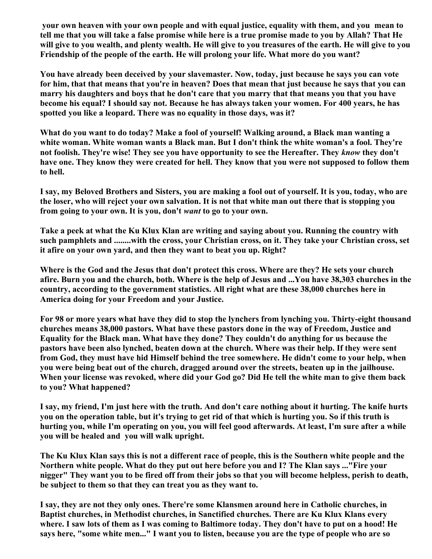**your own heaven with your own people and with equal justice, equality with them, and you mean to tell me that you will take a false promise while here is a true promise made to you by Allah? That He will give to you wealth, and plenty wealth. He will give to you treasures of the earth. He will give to you Friendship of the people of the earth. He will prolong your life. What more do you want?**

**You have already been deceived by your slavemaster. Now, today, just because he says you can vote for him, that that means that you're in heaven? Does that mean that just because he says that you can marry his daughters and boys that he don't care that you marry that that means you that you have become his equal? I should say not. Because he has always taken your women. For 400 years, he has spotted you like a leopard. There was no equality in those days, was it?**

**What do you want to do today? Make a fool of yourself! Walking around, a Black man wanting a white woman. White woman wants a Black man. But I don't think the white woman's a fool. They're not foolish. They're wise! They see you have opportunity to see the Hereafter. They** *know* **they don't have one. They know they were created for hell. They know that you were not supposed to follow them to hell.**

**I say, my Beloved Brothers and Sisters, you are making a fool out of yourself. It is you, today, who are the loser, who will reject your own salvation. It is not that white man out there that is stopping you from going to your own. It is you, don't** *want* **to go to your own.**

**Take a peek at what the Ku Klux Klan are writing and saying about you. Running the country with such pamphlets and ........with the cross, your Christian cross, on it. They take your Christian cross, set it afire on your own yard, and then they want to beat you up. Right?**

**Where is the God and the Jesus that don't protect this cross. Where are they? He sets your church afire. Burn you and the church, both. Where is the help of Jesus and ...You have 38,303 churches in the country, according to the government statistics. All right what are these 38,000 churches here in America doing for your Freedom and your Justice.**

**For 98 or more years what have they did to stop the lynchers from lynching you. Thirty-eight thousand churches means 38,000 pastors. What have these pastors done in the way of Freedom, Justice and Equality for the Black man. What have they done? They couldn't do anything for us because the pastors have been also lynched, beaten down at the church. Where was their help. If they were sent from God, they must have hid Himself behind the tree somewhere. He didn't come to your help, when you were being beat out of the church, dragged around over the streets, beaten up in the jailhouse. When your license was revoked, where did your God go? Did He tell the white man to give them back to you? What happened?**

**I say, my friend, I'm just here with the truth. And don't care nothing about it hurting. The knife hurts you on the operation table, but it's trying to get rid of that which is hurting you. So if this truth is hurting you, while I'm operating on you, you will feel good afterwards. At least, I'm sure after a while you will be healed and you will walk upright.**

**The Ku Klux Klan says this is not a different race of people, this is the Southern white people and the Northern white people. What do they put out here before you and I? The Klan says ..."Fire your nigger" They want you to be fired off from their jobs so that you will become helpless, perish to death, be subject to them so that they can treat you as they want to.**

**I say, they are not they only ones. There're some Klansmen around here in Catholic churches, in Baptist churches, in Methodist churches, in Sanctified churches. There are Ku Klux Klans every where. I saw lots of them as I was coming to Baltimore today. They don't have to put on a hood! He says here, "some white men..." I want you to listen, because you are the type of people who are so**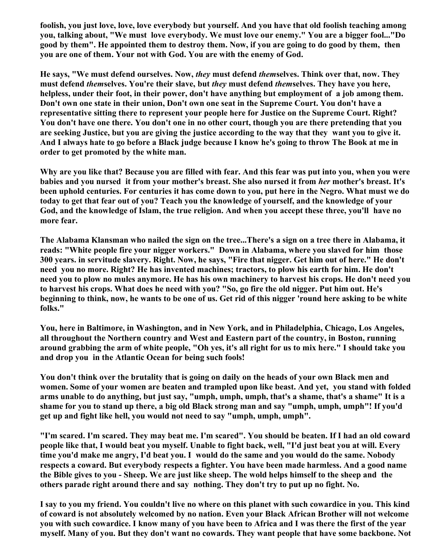**foolish, you just love, love, love everybody but yourself. And you have that old foolish teaching among you, talking about, "We must love everybody. We must love our enemy." You are a bigger fool..."Do good by them". He appointed them to destroy them. Now, if you are going to do good by them, then you are one of them. Your not with God. You are with the enemy of God.**

**He says, "We must defend ourselves. Now,** *they* **must defend** *them***selves. Think over that, now. They must defend** *them***selves. You're their slave, but** *they* **must defend** *them***selves. They have you here, helpless, under their foot, in their power, don't have anything but employment of a job among them. Don't own one state in their union, Don't own one seat in the Supreme Court. You don't have a representative sitting there to represent your people here for Justice on the Supreme Court. Right? You don't have one there. You don't one in no other court, though you are there pretending that you are seeking Justice, but you are giving the justice according to the way that they want you to give it. And I always hate to go before a Black judge because I know he's going to throw The Book at me in order to get promoted by the white man.**

**Why are you like that? Because you are filled with fear. And this fear was put into you, when you were babies and you nursed it from your mother's breast. She also nursed it from** *her* **mother's breast. It's been uphold centuries. For centuries it has come down to you, put here in the Negro. What must we do today to get that fear out of you? Teach you the knowledge of yourself, and the knowledge of your God, and the knowledge of Islam, the true religion. And when you accept these three, you'll have no more fear.**

**The Alabama Klansman who nailed the sign on the tree...There's a sign on a tree there in Alabama, it reads: "White people fire your nigger workers." Down in Alabama, where you slaved for him those 300 years. in servitude slavery. Right. Now, he says, "Fire that nigger. Get him out of here." He don't need you no more. Right? He has invented machines; tractors, to plow his earth for him. He don't need you to plow no mules anymore. He has his own machinery to harvest his crops. He don't need you to harvest his crops. What does he need with you? "So, go fire the old nigger. Put him out. He's beginning to think, now, he wants to be one of us. Get rid of this nigger 'round here asking to be white folks."**

**You, here in Baltimore, in Washington, and in New York, and in Philadelphia, Chicago, Los Angeles, all throughout the Northern country and West and Eastern part of the country, in Boston, running around grabbing the arm of white people, "Oh yes, it's all right for us to mix here." I should take you and drop you in the Atlantic Ocean for being such fools!**

**You don't think over the brutality that is going on daily on the heads of your own Black men and women. Some of your women are beaten and trampled upon like beast. And yet, you stand with folded arms unable to do anything, but just say, "umph, umph, umph, that's a shame, that's a shame" It is a shame for you to stand up there, a big old Black strong man and say "umph, umph, umph"! If you'd get up and fight like hell, you would not need to say "umph, umph, umph".** 

**"I'm scared. I'm scared. They may beat me. I'm scared". You should be beaten. If I had an old coward people like that, I would beat you myself. Unable to fight back, well, "I'd just beat you at will. Every time you'd make me angry, I'd beat you. I would do the same and you would do the same. Nobody respects a coward. But everybody respects a fighter. You have been made harmless. And a good name the Bible gives to you - Sheep. We are just like sheep. The wold helps himself to the sheep and the others parade right around there and say nothing. They don't try to put up no fight. No.**

**I say to you my friend. You couldn't live no where on this planet with such cowardice in you. This kind of coward is not absolutely welcomed by no nation. Even your Black African Brother will not welcome you with such cowardice. I know many of you have been to Africa and I was there the first of the year myself. Many of you. But they don't want no cowards. They want people that have some backbone. Not**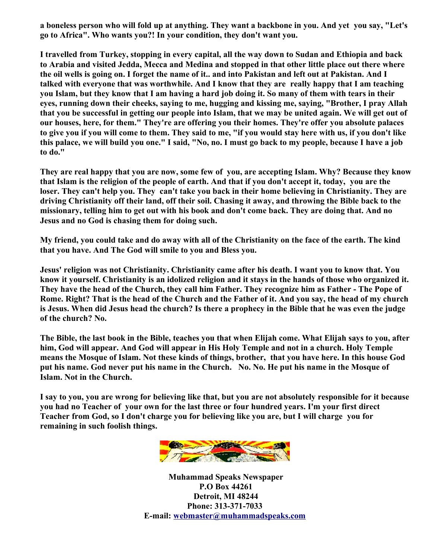**a boneless person who will fold up at anything. They want a backbone in you. And yet you say, "Let's go to Africa". Who wants you?! In your condition, they don't want you.**

**I travelled from Turkey, stopping in every capital, all the way down to Sudan and Ethiopia and back to Arabia and visited Jedda, Mecca and Medina and stopped in that other little place out there where the oil wells is going on. I forget the name of it.. and into Pakistan and left out at Pakistan. And I talked with everyone that was worthwhile. And I know that they are really happy that I am teaching you Islam, but they know that I am having a hard job doing it. So many of them with tears in their eyes, running down their cheeks, saying to me, hugging and kissing me, saying, "Brother, I pray Allah that you be successful in getting our people into Islam, that we may be united again. We will get out of our houses, here, for them." They're are offering you their homes. They're offer you absolute palaces to give you if you will come to them. They said to me, "if you would stay here with us, if you don't like this palace, we will build you one." I said, "No, no. I must go back to my people, because I have a job to do."**

**They are real happy that you are now, some few of you, are accepting Islam. Why? Because they know that Islam is the religion of the people of earth. And that if you don't accept it, today, you are the loser. They can't help you. They can't take you back in their home believing in Christianity. They are driving Christianity off their land, off their soil. Chasing it away, and throwing the Bible back to the missionary, telling him to get out with his book and don't come back. They are doing that. And no Jesus and no God is chasing them for doing such.**

**My friend, you could take and do away with all of the Christianity on the face of the earth. The kind that you have. And The God will smile to you and Bless you.**

**Jesus' religion was not Christianity. Christianity came after his death. I want you to know that. You know it yourself. Christianity is an idolized religion and it stays in the hands of those who organized it. They have the head of the Church, they call him Father. They recognize him as Father - The Pope of Rome. Right? That is the head of the Church and the Father of it. And you say, the head of my church is Jesus. When did Jesus head the church? Is there a prophecy in the Bible that he was even the judge of the church? No.**

**The Bible, the last book in the Bible, teaches you that when Elijah come. What Elijah says to you, after him, God will appear. And God will appear in His Holy Temple and not in a church. Holy Temple means the Mosque of Islam. Not these kinds of things, brother, that you have here. In this house God put his name. God never put his name in the Church. No. No. He put his name in the Mosque of Islam. Not in the Church.**

**I say to you, you are wrong for believing like that, but you are not absolutely responsible for it because you had no Teacher of your own for the last three or four hundred years. I'm your first direct Teacher from God, so I don't charge you for believing like you are, but I will charge you for remaining in such foolish things.**



**Muhammad Speaks Newspaper P.O Box 44261 Detroit, MI 48244 Phone: 313-371-7033 E-mail: [webmaster@muhammadspeaks.com](mailto:levi-karim@muhammadspeaks.com)**